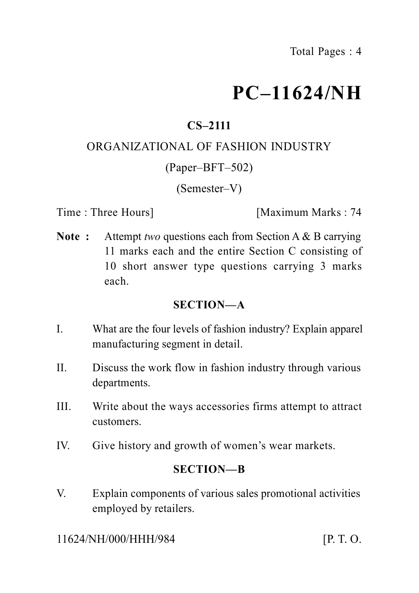# **PC–11624/NH**

# **CS–2111**

#### ORGANIZATIONAL OF FASHION INDUSTRY

#### (Paper–BFT–502)

(Semester–V)

Time : Three Hours **I** [Maximum Marks : 74]

**Note :** Attempt *two* questions each from Section A & B carrying 11 marks each and the entire Section C consisting of 10 short answer type questions carrying 3 marks each.

#### **SECTION—A**

- I. What are the four levels of fashion industry? Explain apparel manufacturing segment in detail.
- II. Discuss the work flow in fashion industry through various departments.
- III. Write about the ways accessories firms attempt to attract customers.
- IV. Give history and growth of women's wear markets.

### **SECTION—B**

V. Explain components of various sales promotional activities employed by retailers.

11624/NH/000/HHH/984 [P. T. O.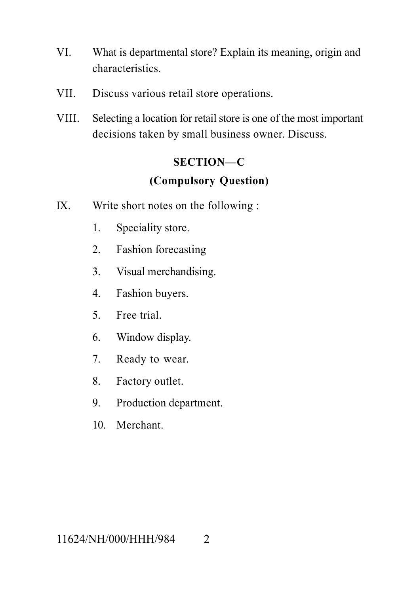- VI. What is departmental store? Explain its meaning, origin and characteristics.
- VII. Discuss various retail store operations.
- VIII. Selecting a location for retail store is one of the most important decisions taken by small business owner. Discuss.

### **SECTION—C**

# **(Compulsory Question)**

- IX. Write short notes on the following :
	- 1. Speciality store.
	- 2. Fashion forecasting
	- 3. Visual merchandising.
	- 4. Fashion buyers.
	- 5. Free trial.
	- 6. Window display.
	- 7. Ready to wear.
	- 8. Factory outlet.
	- 9. Production department.
	- 10. Merchant.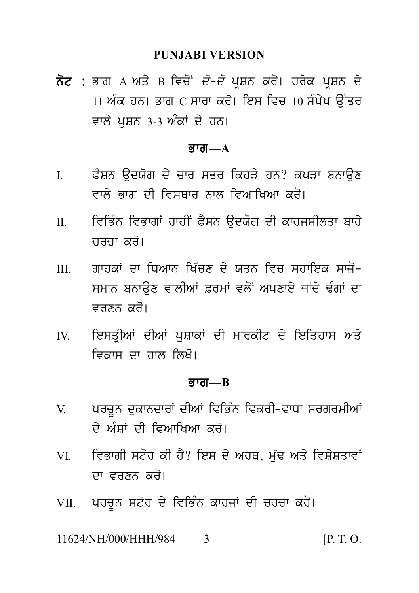#### **PUNJABI VERSION**

PUNJABI VERSION<br>ਨੋਟ : ਭਾਗ A ਅਤੇ B ਵਿਚੋਂ *ਦੋ–ਦੋ* ਪ੍ਰਸ਼ਨ ਕਰੋ। ਹਰੇਕ ਪ੍ਰਸ਼ਨ ਦੇ<br>11 ਅੰਕ ਹਨ। ਭਾਗ C ਸਾਰਾ ਕਰੋ। ਇਸ ਵਿਚ 10 ਸੰਖੇਪ ਉੱਤਰ<br>ਵਾਲੇ ਪੁਸ਼ਨ 3-3 ਅੰਕਾਂ ਦੇ ਹਨ। PUNJABI VERSION<br>ਭਾਗ A ਅਤੇ B ਵਿਚੋਂ *ਦੋ–ਦੋ* ਪ੍ਰਸ਼ਨ ਕਰੋ। ਹਰੇਕ ਪ੍ਰਸ਼ਨ ਦੇ<br>11 ਅੰਕ ਹਨ। ਭਾਗ C ਸਾਰਾ ਕਰੋ। ਇਸ ਵਿਚ 10 ਸੰਖੇਪ ਉੱਤਰ<br>ਵਾਲੇ ਪ੍ਰਸ਼ਨ 3-3 ਅੰਕਾਂ ਦੇ ਹਨ। **ਨੋਟ :** ਭਾਗ A ਅਤੇ B ਵਿਚੋਂ *ਦੋ–ਦੋ* ਪ੍ਰਸ਼ਨ ਕਰੋ। ਹਰੇਕ ਪ੍ਰਸ਼ਨ ਦੇ<br>11 ਅੰਕ ਹਨ। ਭਾਗ C ਸਾਰਾ ਕਰੋ। ਇਸ ਵਿਚ 10 ਸੰਖੇਪ ਉੱਤਰ<br>ਵਾਲੇ ਪਸ਼ਨ 3-3 ਅੰਕਾਂ ਦੇ ਹਨ।

#### $\overline{g}$ *rar*— $\overline{A}$

- I. P YSn a udX og d y cwr sqr ikhV y hn? kpVw bnwa ux ਫੈਸ਼ਨ ਉਦਯੋਗ ਦੇ ਚਾਰ ਸਤਰ ਕਿਹੜੇ ਹਨ? ਕਪੜਾ ਬਨਾਉਣ<br>ਵਾਲੇ ਭਾਗ ਦੀ ਵਿਸਥਾਰ ਨਾਲ ਵਿਆਖਿਆ ਕਰੋ।<br>ਵਿਭਿੰਨ ਵਿਭਾਗਾਂ ਰਾਹੀਂ ਫੈਸ਼ਨ ਉਦਯੋਗ ਦੀ ਕਾਰਜਸ਼ੀਲਤਾ ਬਾਰੇ<br>ਜਰਜਾ ਕਰੋ।
- II. iviB Mn ivBwgW rwhIN P YSn a udX og dI kwrjSIlqw bwr y ਵਿਭਿੰਨ ਵਿਭਾਗਾਂ ਰਾਹੀਂ ਫੈਸ਼ਨ ਉਦਯੋਗ ਦੀ ਕਾਰਜਸ਼ੀਲਤਾ ਬਾਰੇ<br>ਚਰਚਾ ਕਰੋ।<br>ਗਾਹਕਾਂ ਦਾ ਧਿਆਨ ਖਿੱਚਣ ਦੇ ਯਤਨ ਵਿਚ ਸਹਾਇਕ ਸਾਚੋ-
- III. gwhkW dw iDAwn iK `cx d y Xqn ivc shwiek swz o-ਵਿਤਿਲ ਵਿਤਾਗ ਤਾਰਾ ਤਸ਼ਨ ਫੁਰਗਰਾ ਦਾ ਕਾਰਜਸ਼ਨਤ ਬਾਤ<br>ਚਰਚਾ ਕਰੋ।<br>ਗਾਹਕਾਂ ਦਾ ਧਿਆਨ ਖਿੱਚਣ ਦੇ ਯਤਨ ਵਿਚ ਸਹਾਇਕ ਸਾਜ਼ੋ-<br>ਸਮਾਨ ਬਨਾਉਣ ਵਾਲੀਆਂ ਫ਼ਰਮਾਂ ਵਲੋਂ ਅਪਣਾਏ ਜਾਂਦੇ ਢੰਗਾਂ ਦਾ<br>ਵਰਣਨ ਕਰੋ। ਸਮਾਨ ਬਨਾਉਣ ਵਾਲੀਆਂ ਫ਼ਰਮਾਂ ਵਲੋਂ ਅਪਣਾਏ ਜਾਂਦੇ ਢੰਗਾਂ ਦਾ<br>ਵਰਣਨ ਕਰੋ।<br>ਇਸਤ੍ਰੀਆਂ ਦੀਆਂ ਪੁਸ਼ਾਕਾਂ ਦੀ ਮਾਰਕੀਟ ਦੇ ਇਤਿਹਾਸ ਅਤੇ<br>ਵਿਕਾਸ ਦਾ ਹਾਲ ਲਿਖੋ। II. ਪ੍ਰਾਪਤਕ ਦਾ ਜਿਸਾਨ ਜਿਹਣ ਦਾ ਗਤਨ ਜਦਕ ਸਕਾਰਕ ਸਾਜ਼<br>ਸਮਾਨ ਬਨਾਉਣ ਵਾਲੀਆਂ ਫ਼ਰਮਾਂ ਵਲੋਂ ਅਪਣਾਏ ਜਾਂਦੇ ਢੰਗਾਂ ਦਾ<br>ਵਰਣਨ ਕਰੋ।<br>IV. ਇਸਤ੍ਰੀਆਂ ਦੀਆਂ ਪੁਸ਼ਾਕਾਂ ਦੀ ਮਾਰਕੀਟ ਦੇ ਇਤਿਹਾਸ ਅਤੇ<br>ਵਿਕਾਸ ਦਾ ਹਾਲ ਲਿਖੋ।
- ਇਸਤੀਆਂ ਦੀਆਂ ਪਸ਼ਾਕਾਂ ਦੀ ਮਾਰਕੀਟ ਦੇ ਇਤਿਹਾਸ ਅਤੇ

#### Bwg**—B**

- ਵਿਕਾਸ ਦਾ ਹਾਲ ਲਿਖੋ।<br>ਭਾਗ—B<br>V. ਪਰਚੂਨ ਦੁਕਾਨਦਾਰਾਂ ਦੀਆਂ ਵਿਭਿੰਨ ਵਿਕਰੀ–ਵਾਧਾ ਸਰਗਰਮੀਆਂ<br>ਦੇ ਅੰਸ਼ਾਂ ਦੀ ਵਿਆਖਿਆ ਕਰੋ। **ਭਾਗ—B<br>ਪਰਚੂਨ ਦੁਕਾਨਦਾਰਾਂ ਦੀਆਂ ਵਿਭਿੰਨ ਵਿਕਰੀ-ਵਾਧਾ ਸਰਗ**<br>ਦੇ ਅੰਸ਼ਾਂ ਦੀ ਵਿਆਖਿਆ ਕਰੋ।<br>ਵਿਭਾਗੀ ਸਟੋਰ ਕੀ ਹੈ? ਇਸ ਦੇ ਅਰਥ, ਮੁੱਢ ਅਤੇ ਵਿਸ਼ੇ
- V. ਪਰਚੂਨ ਦੁਕਾਨਦਾਰਾਂ ਦੀਆਂ ਵਿਭਿੰਨ ਵਿਕਰੀ–ਵਾਧਾ ਸਰਗਰਮੀਆਂ<br>ਦੇ ਅੰਸ਼ਾਂ ਦੀ ਵਿਆਖਿਆ ਕਰੋ।<br>VI. ਵਿਭਾਗੀ ਸਟੋਰ ਕੀ ਹੈ? ਇਸ ਦੇ ਅਰਥ, ਮੁੱਢ ਅਤੇ ਵਿਸ਼ੇਸ਼ਤਾਵਾਂ<br>ਦਾ ਵਰਣਨ ਕਰੋ। ਦੇ ਅੰਸ਼ਾਂ ਦੀ ਵਿਆਖਿਆ ਕਰੋ।<br>ਵਿਭਾਗੀ ਸਟੋਰ ਕੀ ਹੈ? ਇਸ ਦੇ ਅਰਥ, ਮੁੱਢ ਅਤੇ ਵਿਸ਼ੇਸ਼ਤਾਵਾਂ<br>ਦਾ ਵਰਣਨ ਕਰੋ।<br>ਪਰਚਨ ਸਟੋਰ ਦੇ ਵਿਭਿੰਨ ਕਾਰਜਾਂ ਦੀ ਚਰਚਾ ਕਰੋ। VI. ਵਿਭਾਗੀ ਸਟੋਰ ਕੀ ਹੈ? ਇਸ ਦੇ ਅਰਥ, ਮੁੱਢ ਅਤੇ ਵਿਸ਼ੇਸ਼ਤਾਵਾਂ<br>ਦਾ ਵਰਣਨ ਕਰੋ।<br>VII. ਪਰਚੂਨ ਸਟੋਰ ਦੇ ਵਿਭਿੰਨ ਕਾਰਜਾਂ ਦੀ ਚਰਚਾ ਕਰੋ।<br>11624/NH/000/HHH/984 3 [P.T.O.
- 

11624/NH/000/HHH/984 3 [P. T. O.